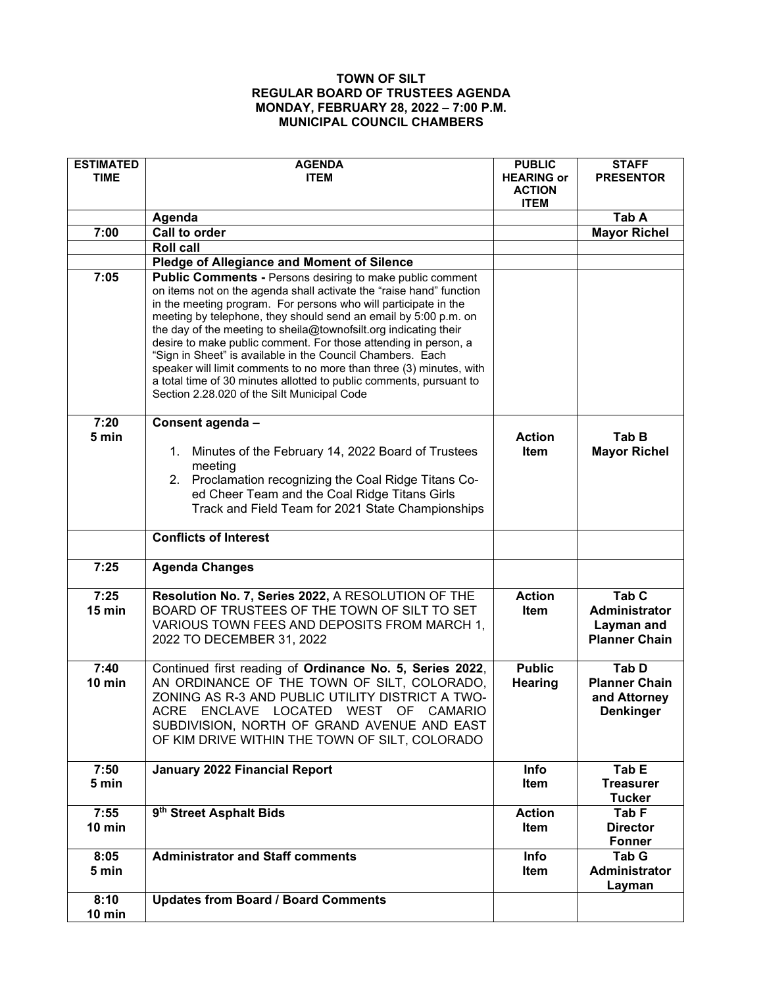## **TOWN OF SILT REGULAR BOARD OF TRUSTEES AGENDA MONDAY, FEBRUARY 28, 2022 – 7:00 P.M. MUNICIPAL COUNCIL CHAMBERS**

| <b>ESTIMATED</b><br><b>TIME</b> | <b>AGENDA</b><br><b>ITEM</b>                                                                                                                                                                                                                                                                                                                                                                                                                                                                                                                                                                                                                                                    | <b>PUBLIC</b><br><b>HEARING or</b><br><b>ACTION</b><br><b>ITEM</b> | <b>STAFF</b><br><b>PRESENTOR</b>                                               |
|---------------------------------|---------------------------------------------------------------------------------------------------------------------------------------------------------------------------------------------------------------------------------------------------------------------------------------------------------------------------------------------------------------------------------------------------------------------------------------------------------------------------------------------------------------------------------------------------------------------------------------------------------------------------------------------------------------------------------|--------------------------------------------------------------------|--------------------------------------------------------------------------------|
|                                 | Agenda                                                                                                                                                                                                                                                                                                                                                                                                                                                                                                                                                                                                                                                                          |                                                                    | Tab A                                                                          |
| 7:00                            | <b>Call to order</b>                                                                                                                                                                                                                                                                                                                                                                                                                                                                                                                                                                                                                                                            |                                                                    | <b>Mayor Richel</b>                                                            |
|                                 | <b>Roll call</b>                                                                                                                                                                                                                                                                                                                                                                                                                                                                                                                                                                                                                                                                |                                                                    |                                                                                |
|                                 | Pledge of Allegiance and Moment of Silence                                                                                                                                                                                                                                                                                                                                                                                                                                                                                                                                                                                                                                      |                                                                    |                                                                                |
| 7:05                            | <b>Public Comments - Persons desiring to make public comment</b><br>on items not on the agenda shall activate the "raise hand" function<br>in the meeting program. For persons who will participate in the<br>meeting by telephone, they should send an email by 5:00 p.m. on<br>the day of the meeting to sheila@townofsilt.org indicating their<br>desire to make public comment. For those attending in person, a<br>"Sign in Sheet" is available in the Council Chambers. Each<br>speaker will limit comments to no more than three (3) minutes, with<br>a total time of 30 minutes allotted to public comments, pursuant to<br>Section 2.28.020 of the Silt Municipal Code |                                                                    |                                                                                |
| 7:20<br>5 min                   | Consent agenda -                                                                                                                                                                                                                                                                                                                                                                                                                                                                                                                                                                                                                                                                | <b>Action</b>                                                      | Tab B                                                                          |
|                                 | 1. Minutes of the February 14, 2022 Board of Trustees<br>meeting<br>2. Proclamation recognizing the Coal Ridge Titans Co-<br>ed Cheer Team and the Coal Ridge Titans Girls<br>Track and Field Team for 2021 State Championships                                                                                                                                                                                                                                                                                                                                                                                                                                                 | <b>Item</b>                                                        | <b>Mayor Richel</b>                                                            |
|                                 | <b>Conflicts of Interest</b>                                                                                                                                                                                                                                                                                                                                                                                                                                                                                                                                                                                                                                                    |                                                                    |                                                                                |
| 7:25                            | <b>Agenda Changes</b>                                                                                                                                                                                                                                                                                                                                                                                                                                                                                                                                                                                                                                                           |                                                                    |                                                                                |
| 7:25<br>15 min                  | Resolution No. 7, Series 2022, A RESOLUTION OF THE<br>BOARD OF TRUSTEES OF THE TOWN OF SILT TO SET<br>VARIOUS TOWN FEES AND DEPOSITS FROM MARCH 1,<br>2022 TO DECEMBER 31, 2022                                                                                                                                                                                                                                                                                                                                                                                                                                                                                                 | <b>Action</b><br><b>Item</b>                                       | Tab <sub>C</sub><br><b>Administrator</b><br>Layman and<br><b>Planner Chain</b> |
| 7:40<br>10 min                  | Continued first reading of Ordinance No. 5, Series 2022,<br>AN ORDINANCE OF THE TOWN OF SILT, COLORADO,<br>ZONING AS R-3 AND PUBLIC UTILITY DISTRICT A TWO-<br>ACRE ENCLAVE LOCATED WEST OF CAMARIO<br>SUBDIVISION, NORTH OF GRAND AVENUE AND EAST<br>OF KIM DRIVE WITHIN THE TOWN OF SILT, COLORADO                                                                                                                                                                                                                                                                                                                                                                            | <b>Public</b><br><b>Hearing</b>                                    | Tab D<br><b>Planner Chain</b><br>and Attorney<br><b>Denkinger</b>              |
| 7:50<br>5 min                   | January 2022 Financial Report                                                                                                                                                                                                                                                                                                                                                                                                                                                                                                                                                                                                                                                   | Info<br>Item                                                       | Tab E<br><b>Treasurer</b><br><b>Tucker</b>                                     |
| 7:55<br>$10$ min                | 9 <sup>th</sup> Street Asphalt Bids                                                                                                                                                                                                                                                                                                                                                                                                                                                                                                                                                                                                                                             | <b>Action</b><br>Item                                              | Tab <sub>F</sub><br><b>Director</b><br><b>Fonner</b>                           |
| 8:05<br>5 min                   | <b>Administrator and Staff comments</b>                                                                                                                                                                                                                                                                                                                                                                                                                                                                                                                                                                                                                                         | Info<br>Item                                                       | Tab G<br>Administrator<br>Layman                                               |
| 8:10<br>10 min                  | <b>Updates from Board / Board Comments</b>                                                                                                                                                                                                                                                                                                                                                                                                                                                                                                                                                                                                                                      |                                                                    |                                                                                |